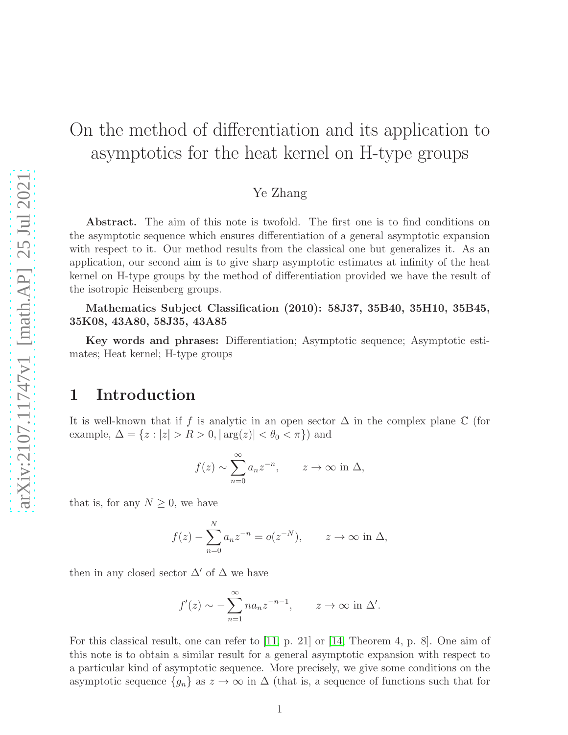# On the method of differentiation and its application to asymptotics for the heat kernel on H-type groups

#### Ye Zhang

Abstract. The aim of this note is twofold. The first one is to find conditions on the asymptotic sequence which ensures differentiation of a general asymptotic expansion with respect to it. Our method results from the classical one but generalizes it. As an application, our second aim is to give sharp asymptotic estimates at infinity of the heat kernel on H-type groups by the method of differentiation provided we have the result of the isotropic Heisenberg groups.

Mathematics Subject Classification (2010): 58J37, 35B40, 35H10, 35B45, 35K08, 43A80, 58J35, 43A85

Key words and phrases: Differentiation; Asymptotic sequence; Asymptotic estimates; Heat kernel; H-type groups

## 1 Introduction

It is well-known that if f is analytic in an open sector  $\Delta$  in the complex plane  $\mathbb C$  (for example,  $\Delta = \{z : |z| > R > 0, |\arg(z)| < \theta_0 < \pi\}$  and

$$
f(z) \sim \sum_{n=0}^{\infty} a_n z^{-n}
$$
,  $z \to \infty$  in  $\Delta$ ,

that is, for any  $N \geq 0$ , we have

$$
f(z) - \sum_{n=0}^{N} a_n z^{-n} = o(z^{-N}), \qquad z \to \infty \text{ in } \Delta,
$$

then in any closed sector  $\Delta'$  of  $\Delta$  we have

$$
f'(z) \sim -\sum_{n=1}^{\infty} n a_n z^{-n-1}, \qquad z \to \infty \text{ in } \Delta'.
$$

For this classical result, one can refer to [\[11,](#page-16-0) p. 21] or [\[14,](#page-16-1) Theorem 4, p. 8]. One aim of this note is to obtain a similar result for a general asymptotic expansion with respect to a particular kind of asymptotic sequence. More precisely, we give some conditions on the asymptotic sequence  $\{g_n\}$  as  $z \to \infty$  in  $\Delta$  (that is, a sequence of functions such that for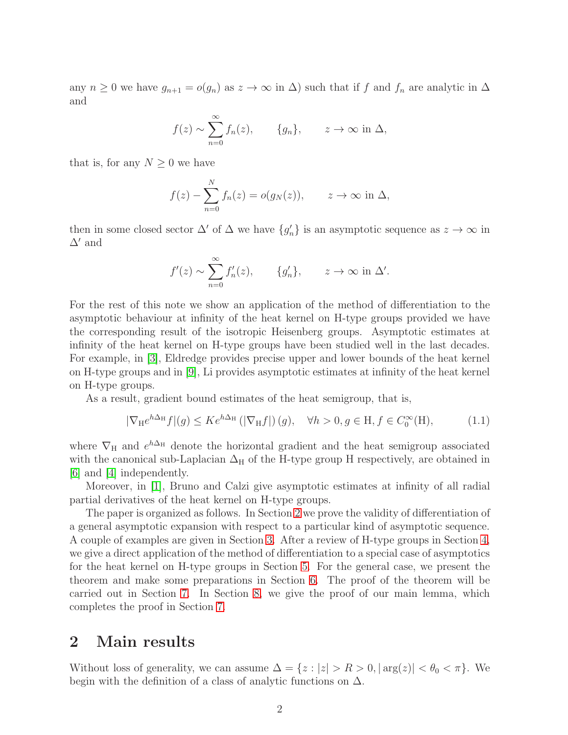any  $n \geq 0$  we have  $g_{n+1} = o(g_n)$  as  $z \to \infty$  in  $\Delta$ ) such that if f and  $f_n$  are analytic in  $\Delta$ and

$$
f(z) \sim \sum_{n=0}^{\infty} f_n(z)
$$
,  $\{g_n\}$ ,  $z \to \infty$  in  $\Delta$ ,

that is, for any  $N \geq 0$  we have

$$
f(z) - \sum_{n=0}^{N} f_n(z) = o(g_N(z)), \qquad z \to \infty \text{ in } \Delta,
$$

then in some closed sector  $\Delta'$  of  $\Delta$  we have  $\{g'_n\}$  is an asymptotic sequence as  $z \to \infty$  in  $\Delta'$  and

$$
f'(z) \sim \sum_{n=0}^{\infty} f'_n(z), \qquad \{g'_n\}, \qquad z \to \infty \text{ in } \Delta'.
$$

For the rest of this note we show an application of the method of differentiation to the asymptotic behaviour at infinity of the heat kernel on H-type groups provided we have the corresponding result of the isotropic Heisenberg groups. Asymptotic estimates at infinity of the heat kernel on H-type groups have been studied well in the last decades. For example, in [\[3\]](#page-15-0), Eldredge provides precise upper and lower bounds of the heat kernel on H-type groups and in [\[9\]](#page-15-1), Li provides asymptotic estimates at infinity of the heat kernel on H-type groups.

As a result, gradient bound estimates of the heat semigroup, that is,

$$
|\nabla_{\mathcal{H}} e^{h\Delta_{\mathcal{H}}} f|(g) \leq K e^{h\Delta_{\mathcal{H}}} \left( |\nabla_{\mathcal{H}} f| \right)(g), \quad \forall h > 0, g \in \mathcal{H}, f \in C_0^{\infty}(\mathcal{H}), \tag{1.1}
$$

where  $\nabla_H$  and  $e^{h\Delta_H}$  denote the horizontal gradient and the heat semigroup associated with the canonical sub-Laplacian  $\Delta_H$  of the H-type group H respectively, are obtained in [\[6\]](#page-15-2) and [\[4\]](#page-15-3) independently.

Moreover, in [\[1\]](#page-15-4), Bruno and Calzi give asymptotic estimates at infinity of all radial partial derivatives of the heat kernel on H-type groups.

The paper is organized as follows. In Section [2](#page-1-0) we prove the validity of differentiation of a general asymptotic expansion with respect to a particular kind of asymptotic sequence. A couple of examples are given in Section [3.](#page-4-0) After a review of H-type groups in Section [4,](#page-6-0) we give a direct application of the method of differentiation to a special case of asymptotics for the heat kernel on H-type groups in Section [5.](#page-8-0) For the general case, we present the theorem and make some preparations in Section [6.](#page-9-0) The proof of the theorem will be carried out in Section [7.](#page-10-0) In Section [8,](#page-12-0) we give the proof of our main lemma, which completes the proof in Section [7.](#page-10-0)

### <span id="page-1-0"></span>2 Main results

Without loss of generality, we can assume  $\Delta = \{z : |z| > R > 0, |\arg(z)| < \theta_0 < \pi\}.$  We begin with the definition of a class of analytic functions on  $\Delta$ .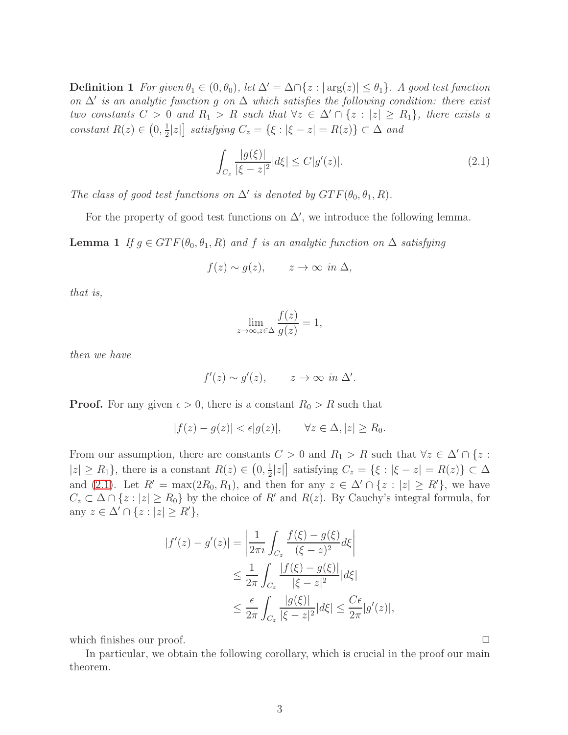**Definition 1** For given  $\theta_1 \in (0, \theta_0)$ , let  $\Delta' = \Delta \cap \{z : |\arg(z)| \leq \theta_1\}$ . A good test function *on* ∆′ *is an analytic function* g *on* ∆ *which satisfies the following condition: there exist two constants*  $C > 0$  *and*  $R_1 > R$  *such that*  $\forall z \in \Delta' \cap \{z : |z| \ge R_1\}$ *, there exists a constant*  $R(z) \in \left(0, \frac{1}{2}\right)$  $\left[\frac{1}{2}|z|\right]$  satisfying  $C_z = \{\xi : |\xi - z| = R(z)\} \subset \Delta$  and

<span id="page-2-0"></span>
$$
\int_{C_z} \frac{|g(\xi)|}{|\xi - z|^2} |d\xi| \le C|g'(z)|.
$$
\n(2.1)

*The class of good test functions on*  $\Delta'$  *is denoted by*  $GTF(\theta_0, \theta_1, R)$ *.* 

<span id="page-2-1"></span>For the property of good test functions on  $\Delta'$ , we introduce the following lemma.

**Lemma 1** *If*  $g \in GTF(\theta_0, \theta_1, R)$  *and f is an analytic function on*  $\Delta$  *satisfying* 

$$
f(z) \sim g(z), \qquad z \to \infty \text{ in } \Delta,
$$

*that is,*

$$
\lim_{z \to \infty, z \in \Delta} \frac{f(z)}{g(z)} = 1,
$$

*then we have*

$$
f'(z) \sim g'(z), \qquad z \to \infty \text{ in } \Delta'.
$$

**Proof.** For any given  $\epsilon > 0$ , there is a constant  $R_0 > R$  such that

$$
|f(z) - g(z)| < \epsilon |g(z)|, \qquad \forall z \in \Delta, |z| \ge R_0.
$$

From our assumption, there are constants  $C > 0$  and  $R_1 > R$  such that  $\forall z \in \Delta' \cap \{z :$  $|z| \ge R_1$ , there is a constant  $R(z) \in (0, \frac{1}{2})$  $\frac{1}{2}|z|$  satisfying  $C_z = \{\xi : |\xi - z| = R(z)\} \subset \Delta$ and [\(2.1\)](#page-2-0). Let  $R' = \max(2R_0, R_1)$ , and then for any  $z \in \Delta' \cap \{z : |z| \ge R'\}$ , we have  $C_z \subset \Delta \cap \{z : |z| \ge R_0\}$  by the choice of R' and  $R(z)$ . By Cauchy's integral formula, for any  $z \in \Delta' \cap \{z : |z| \ge R'\},\$ 

$$
|f'(z) - g'(z)| = \left| \frac{1}{2\pi i} \int_{C_z} \frac{f(\xi) - g(\xi)}{(\xi - z)^2} d\xi \right|
$$
  

$$
\leq \frac{1}{2\pi} \int_{C_z} \frac{|f(\xi) - g(\xi)|}{|\xi - z|^2} |d\xi|
$$
  

$$
\leq \frac{\epsilon}{2\pi} \int_{C_z} \frac{|g(\xi)|}{|\xi - z|^2} |d\xi| \leq \frac{C\epsilon}{2\pi} |g'(z)|,
$$

which finishes our proof.  $\Box$ 

<span id="page-2-2"></span>In particular, we obtain the following corollary, which is crucial in the proof our main theorem.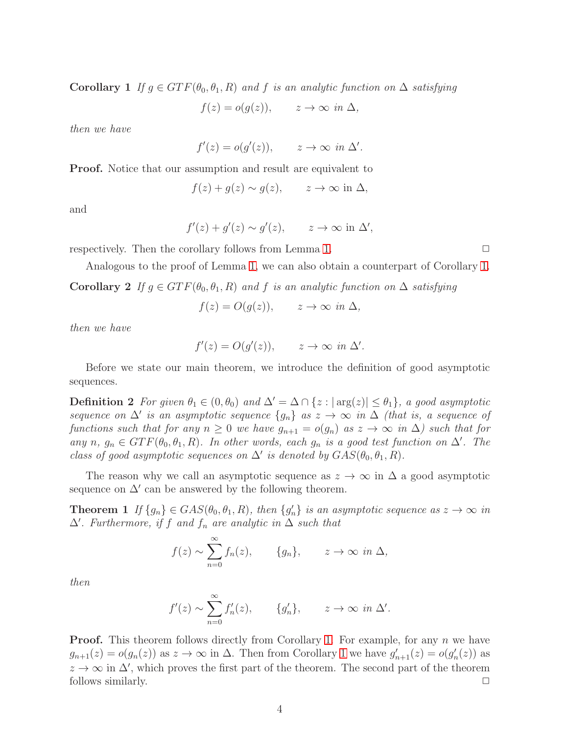Corollary 1 *If*  $g \in GTF(\theta_0, \theta_1, R)$  and f *is an analytic function on*  $\Delta$  *satisfying* 

 $f(z) = o(g(z)), \quad z \to \infty \text{ in } \Delta,$ 

*then we have*

$$
f'(z) = o(g'(z)), \qquad z \to \infty \text{ in } \Delta'.
$$

Proof. Notice that our assumption and result are equivalent to

$$
f(z) + g(z) \sim g(z)
$$
,  $z \to \infty$  in  $\Delta$ ,

and

$$
f'(z) + g'(z) \sim g'(z), \qquad z \to \infty \text{ in } \Delta',
$$

respectively. Then the corollary follows from Lemma [1.](#page-2-1)  $\Box$ 

Analogous to the proof of Lemma [1,](#page-2-1) we can also obtain a counterpart of Corollary [1.](#page-2-2) Corollary 2 *If*  $g \in GTF(\theta_0, \theta_1, R)$  *and* f *is an analytic function on*  $\Delta$  *satisfying* 

$$
f(z) = O(g(z)), \qquad z \to \infty \text{ in } \Delta,
$$

*then we have*

$$
f'(z) = O(g'(z)), \qquad z \to \infty \text{ in } \Delta'.
$$

Before we state our main theorem, we introduce the definition of good asymptotic sequences.

**Definition 2** For given  $\theta_1 \in (0, \theta_0)$  and  $\Delta' = \Delta \cap \{z : |\arg(z)| \leq \theta_1\}$ , a good asymptotic *sequence on*  $\Delta'$  *is an asymptotic sequence*  $\{g_n\}$  *as*  $z \to \infty$  *in*  $\Delta$  *(that is, a sequence of functions such that for any*  $n \geq 0$  *we have*  $g_{n+1} = o(g_n)$  *as*  $z \to \infty$  *in*  $\Delta$ *) such that for any*  $n, g_n \in GTF(\theta_0, \theta_1, R)$ *. In other words, each*  $g_n$  *is a good test function on*  $\Delta'$ *. The class of good asymptotic sequences on*  $\Delta'$  *is denoted by*  $GAS(\theta_0, \theta_1, R)$ *.* 

<span id="page-3-0"></span>The reason why we call an asymptotic sequence as  $z \to \infty$  in  $\Delta$  a good asymptotic sequence on  $\Delta'$  can be answered by the following theorem.

**Theorem 1** If  $\{g_n\} \in GAS(\theta_0, \theta_1, R)$ , then  $\{g'_n\}$  is an asymptotic sequence as  $z \to \infty$  in  $\Delta'$ *. Furthermore, if* f *and*  $f_n$  *are analytic in*  $\Delta$  *such that* 

$$
f(z) \sim \sum_{n=0}^{\infty} f_n(z)
$$
,  $\{g_n\}$ ,  $z \to \infty$  in  $\Delta$ ,

*then*

$$
f'(z) \sim \sum_{n=0}^{\infty} f'_n(z), \qquad \{g'_n\}, \qquad z \to \infty \text{ in } \Delta'.
$$

**Proof.** This theorem follows directly from Corollary [1.](#page-2-2) For example, for any  $n$  we have  $g_{n+1}(z) = o(g_n(z))$  as  $z \to \infty$  in  $\Delta$ . Then from Corollary [1](#page-2-2) we have  $g'_{n+1}(z) = o(g'_n(z))$  as  $z \to \infty$  in  $\Delta'$ , which proves the first part of the theorem. The second part of the theorem follows similarly.  $\Box$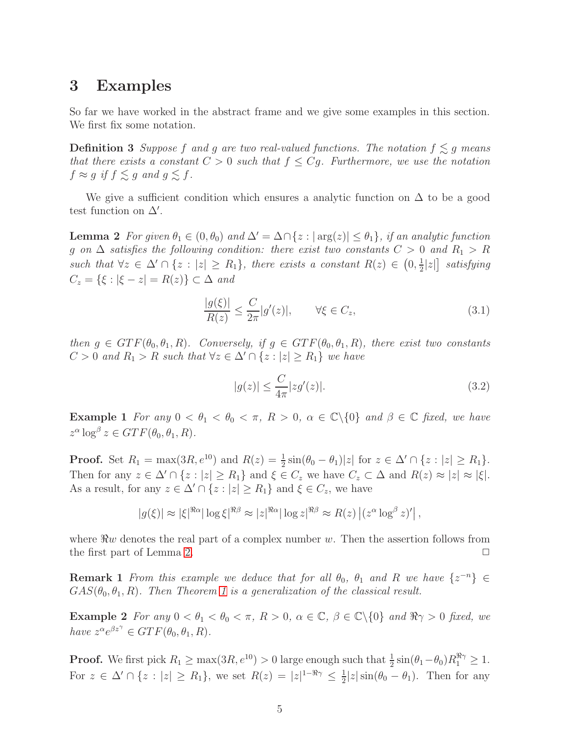### <span id="page-4-0"></span>3 Examples

So far we have worked in the abstract frame and we give some examples in this section. We first fix some notation.

**Definition 3** Suppose f and g are two real-valued functions. The notation  $f \leq g$  means *that there exists a constant*  $C > 0$  *such that*  $f \leq Cg$ *. Furthermore, we use the notation*  $f \approx g$  if  $f \lesssim g$  and  $g \lesssim f$ .

<span id="page-4-1"></span>We give a sufficient condition which ensures a analytic function on  $\Delta$  to be a good test function on  $\Delta'$ .

**Lemma 2** *For given*  $\theta_1 \in (0, \theta_0)$  *and*  $\Delta' = \Delta \cap \{z : |\arg(z)| \leq \theta_1\}$ *, if an analytic function* g on  $\Delta$  *satisfies the following condition: there exist two constants*  $C > 0$  *and*  $R_1 > R$ *such that*  $\forall z \in \Delta' \cap \{z : |z| \ge R_1\}$ , *there exists a constant*  $R(z) \in (0, \frac{1}{2})$  $\frac{1}{2}|z|$  *satisfying*  $C_z = \{\xi : |\xi - z| = R(z)\} \subset \Delta$  *and* 

$$
\frac{|g(\xi)|}{R(z)} \le \frac{C}{2\pi} |g'(z)|, \qquad \forall \xi \in C_z,
$$
\n(3.1)

*then*  $g \in GTF(\theta_0, \theta_1, R)$ *. Conversely, if*  $g \in GTF(\theta_0, \theta_1, R)$ *, there exist two constants*  $C > 0$  and  $R_1 > R$  such that  $\forall z \in \Delta' \cap \{z : |z| \ge R_1\}$  we have

$$
|g(z)| \le \frac{C}{4\pi} |zg'(z)|. \tag{3.2}
$$

<span id="page-4-2"></span>**Example 1** *For any*  $0 < \theta_1 < \theta_0 < \pi$ ,  $R > 0$ ,  $\alpha \in \mathbb{C} \setminus \{0\}$  *and*  $\beta \in \mathbb{C}$  *fixed, we have*  $z^{\alpha} \log^{\beta} z \in GTF(\theta_0, \theta_1, R)$ .

**Proof.** Set  $R_1 = \max(3R, e^{10})$  and  $R(z) = \frac{1}{2}\sin(\theta_0 - \theta_1)|z|$  for  $z \in \Delta' \cap \{z : |z| \ge R_1\}$ . Then for any  $z \in \Delta' \cap \{z : |z| \ge R_1\}$  and  $\xi \in C_z$  we have  $C_z \subset \Delta$  and  $R(z) \approx |z| \approx |\xi|$ . As a result, for any  $z \in \Delta' \cap \{z : |z| \ge R_1\}$  and  $\xi \in C_z$ , we have

$$
|g(\xi)| \approx |\xi|^{\Re \alpha} |\log \xi|^{\Re \beta} \approx |z|^{\Re \alpha} |\log z|^{\Re \beta} \approx R(z) |(z^{\alpha} \log^{\beta} z)'|,
$$

where  $\Re w$  denotes the real part of a complex number w. Then the assertion follows from the first part of Lemma 2. the first part of Lemma [2.](#page-4-1)

**Remark 1** *From this example we deduce that for all*  $\theta_0$ ,  $\theta_1$  *and* R *we have*  $\{z^{-n}\}\in$  $GAS(\theta_0, \theta_1, R)$ *. Then Theorem [1](#page-3-0) is a generalization of the classical result.* 

<span id="page-4-3"></span>**Example 2** For any  $0 < \theta_1 < \theta_0 < \pi$ ,  $R > 0$ ,  $\alpha \in \mathbb{C}$ ,  $\beta \in \mathbb{C} \setminus \{0\}$  and  $\Re \gamma > 0$  fixed, we *have*  $z^{\alpha}e^{\beta z^{\gamma}} \in GTF(\theta_0, \theta_1, R)$ *.* 

**Proof.** We first pick  $R_1 \ge \max(3R, e^{10}) > 0$  large enough such that  $\frac{1}{2} \sin(\theta_1 - \theta_0) R_1^{\Re\gamma} \ge 1$ . For  $z \in \Delta' \cap \{z : |z| \ge R_1\}$ , we set  $R(z) = |z|^{1-\Re\gamma} \le \frac{1}{2}$  $\frac{1}{2}|z|\sin(\theta_0-\theta_1)$ . Then for any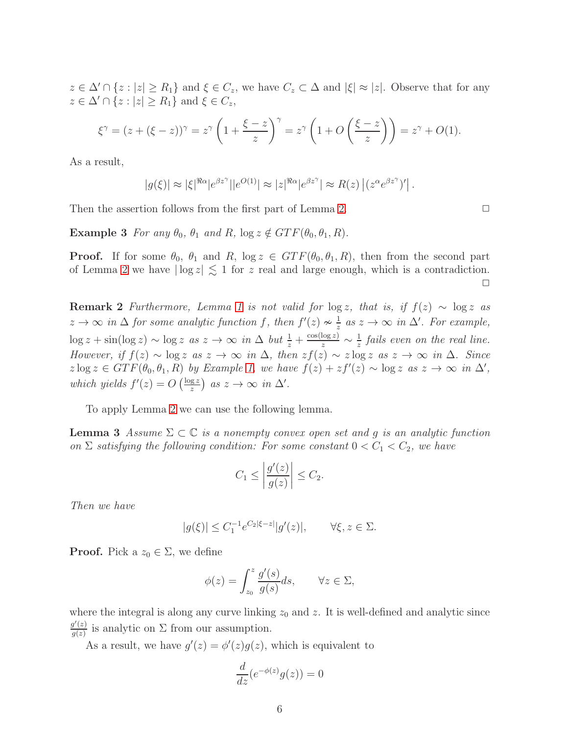$z \in \Delta' \cap \{z : |z| \ge R_1\}$  and  $\xi \in C_z$ , we have  $C_z \subset \Delta$  and  $|\xi| \approx |z|$ . Observe that for any  $z \in \Delta' \cap \{z : |z| \ge R_1\}$  and  $\xi \in C_z$ ,

$$
\xi^{\gamma} = (z + (\xi - z))^{\gamma} = z^{\gamma} \left( 1 + \frac{\xi - z}{z} \right)^{\gamma} = z^{\gamma} \left( 1 + O\left(\frac{\xi - z}{z}\right) \right) = z^{\gamma} + O(1).
$$

As a result,

$$
|g(\xi)| \approx |\xi|^{\Re \alpha} |e^{\beta z^{\gamma}}| |e^{O(1)}| \approx |z|^{\Re \alpha} |e^{\beta z^{\gamma}}| \approx R(z) |(z^{\alpha} e^{\beta z^{\gamma}})'|.
$$

Then the assertion follows from the first part of Lemma [2.](#page-4-1)

**Example 3** *For any*  $\theta_0$ ,  $\theta_1$  *and* R,  $\log z \notin GTF(\theta_0, \theta_1, R)$ *.* 

**Proof.** If for some  $\theta_0$ ,  $\theta_1$  and R,  $\log z \in GTF(\theta_0, \theta_1, R)$ , then from the second part of Lemma [2](#page-4-1) we have  $|\log z| \lesssim 1$  for z real and large enough, which is a contradiction.  $\Box$ 

**Remark 2** *Furthermore, Lemma* [1](#page-2-1) *is not valid for*  $\log z$ *, that is, if*  $f(z) \sim \log z$  *as*  $z \to \infty$  in  $\Delta$  for some analytic function f, then  $f'(z) \nsim \frac{1}{z}$  $\frac{1}{z}$  *as*  $z$  → ∞ *in*  $\Delta'$ *. For example,*  $\log z + \sin(\log z) \sim \log z \text{ as } z \to \infty \text{ in } \Delta \text{ but } \frac{1}{z} + \frac{\cos(\log z)}{z} \sim \frac{1}{z}$  $\frac{1}{z}$  fails even on the real line. *However, if*  $f(z) \sim \log z$  *as*  $z \to \infty$  *in*  $\Delta$ *, then*  $zf(z) \sim z \log z$  *as*  $z \to \infty$  *in*  $\Delta$ *. Since*  $z \log z \in GTF(\theta_0, \theta_1, R)$  *by Example [1,](#page-4-2) we have*  $f(z) + zf'(z) \sim \log z$  *as*  $z \to \infty$  *in*  $\Delta'$ *, which yields*  $f'(z) = O\left(\frac{\log z}{z}\right)$  $\frac{gz}{z}$ ) as  $z \to \infty$  in  $\Delta'$ .

<span id="page-5-0"></span>To apply Lemma [2](#page-4-1) we can use the following lemma.

**Lemma 3** *Assume*  $\Sigma \subset \mathbb{C}$  *is a nonempty convex open set and q is an analytic function on*  $\Sigma$  *satisfying the following condition: For some constant*  $0 < C_1 < C_2$ *, we have* 

$$
C_1 \le \left| \frac{g'(z)}{g(z)} \right| \le C_2.
$$

*Then we have*

$$
|g(\xi)| \le C_1^{-1} e^{C_2|\xi - z|} |g'(z)|, \qquad \forall \xi, z \in \Sigma.
$$

**Proof.** Pick a  $z_0 \in \Sigma$ , we define

$$
\phi(z) = \int_{z_0}^{z} \frac{g'(s)}{g(s)} ds, \qquad \forall z \in \Sigma,
$$

where the integral is along any curve linking  $z_0$  and z. It is well-defined and analytic since  $g'(z)$  $\frac{g(z)}{g(z)}$  is analytic on  $\Sigma$  from our assumption.

As a result, we have  $g'(z) = \phi'(z)g(z)$ , which is equivalent to

$$
\frac{d}{dz}(e^{-\phi(z)}g(z)) = 0
$$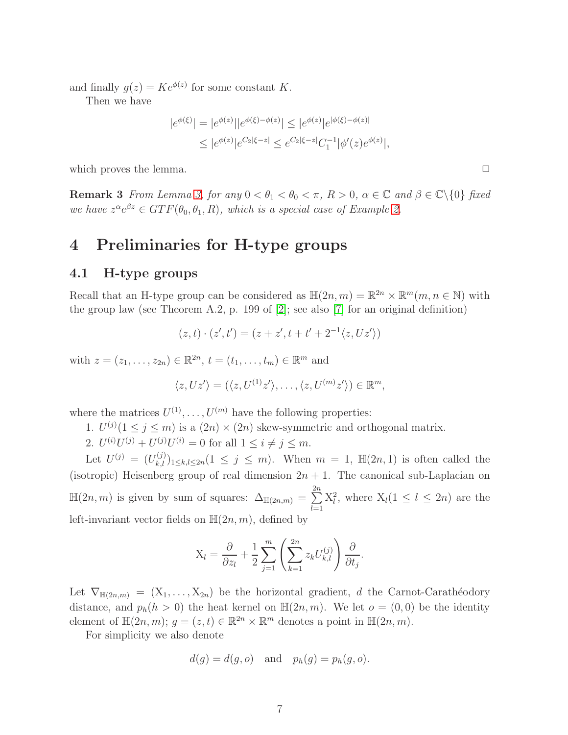and finally  $g(z) = Ke^{\phi(z)}$  for some constant K.

Then we have

$$
|e^{\phi(\xi)}| = |e^{\phi(z)}||e^{\phi(\xi) - \phi(z)}| \le |e^{\phi(z)}|e^{|\phi(\xi) - \phi(z)|}
$$
  

$$
\le |e^{\phi(z)}|e^{C_2|\xi - z|} \le e^{C_2|\xi - z|}C_1^{-1}|\phi'(z)e^{\phi(z)}|,
$$

which proves the lemma.

**Remark 3** *From Lemma [3,](#page-5-0) for any*  $0 < \theta_1 < \theta_0 < \pi$ ,  $R > 0$ ,  $\alpha \in \mathbb{C}$  and  $\beta \in \mathbb{C} \setminus \{0\}$  *fixed we have*  $z^{\alpha}e^{\beta z} \in GTF(\theta_0, \theta_1, R)$ *, which is a special case of Example [2.](#page-4-3)* 

## <span id="page-6-0"></span>4 Preliminaries for H-type groups

#### 4.1 H-type groups

Recall that an H-type group can be considered as  $\mathbb{H}(2n, m) = \mathbb{R}^{2n} \times \mathbb{R}^m(m, n \in \mathbb{N})$  with the group law (see Theorem A.2, p. 199 of [\[2\]](#page-15-5); see also [\[7\]](#page-15-6) for an original definition)

$$
(z, t) \cdot (z', t') = (z + z', t + t' + 2^{-1} \langle z, Uz' \rangle)
$$

with  $z = (z_1, ..., z_{2n}) \in \mathbb{R}^{2n}, t = (t_1, ..., t_m) \in \mathbb{R}^m$  and

$$
\langle z, Uz' \rangle = (\langle z, U^{(1)}z' \rangle, \dots, \langle z, U^{(m)}z' \rangle) \in \mathbb{R}^m,
$$

where the matrices  $U^{(1)}, \ldots, U^{(m)}$  have the following properties:

- 1.  $U^{(j)}(1 \leq j \leq m)$  is a  $(2n) \times (2n)$  skew-symmetric and orthogonal matrix.
- 2.  $U^{(i)}U^{(j)} + U^{(j)}U^{(i)} = 0$  for all  $1 \le i \ne j \le m$ .

Let  $U^{(j)} = (U^{(j)}_{k,l})_{1 \leq k,l \leq 2n} (1 \leq j \leq m)$ . When  $m = 1$ ,  $\mathbb{H}(2n,1)$  is often called the (isotropic) Heisenberg group of real dimension  $2n + 1$ . The canonical sub-Laplacian on  $\mathbb{H}(2n,m)$  is given by sum of squares:  $\Delta_{\mathbb{H}(2n,m)} = \sum_{n=1}^{\infty}$  $_{2n}$  $_{l=1}$  $X_l^2$ , where  $X_l(1 \leq l \leq 2n)$  are the left-invariant vector fields on  $\mathbb{H}(2n, m)$ , defined by

$$
X_l = \frac{\partial}{\partial z_l} + \frac{1}{2} \sum_{j=1}^m \left( \sum_{k=1}^{2n} z_k U_{k,l}^{(j)} \right) \frac{\partial}{\partial t_j}.
$$

Let  $\nabla_{\mathbb{H}(2n,m)} = (X_1, \ldots, X_{2n})$  be the horizontal gradient, d the Carnot-Carathéodory distance, and  $p_h(h > 0)$  the heat kernel on  $\mathbb{H}(2n, m)$ . We let  $o = (0, 0)$  be the identity element of  $\mathbb{H}(2n,m)$ ;  $g = (z, t) \in \mathbb{R}^{2n} \times \mathbb{R}^m$  denotes a point in  $\mathbb{H}(2n,m)$ .

For simplicity we also denote

$$
d(g) = d(g, o)
$$
 and  $p_h(g) = p_h(g, o)$ .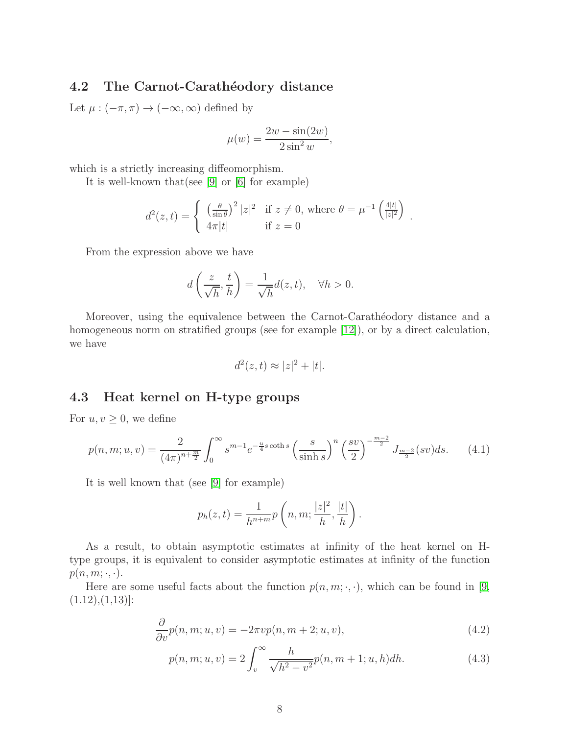#### 4.2 The Carnot-Carathéodory distance

Let  $\mu : (-\pi, \pi) \to (-\infty, \infty)$  defined by

$$
\mu(w) = \frac{2w - \sin(2w)}{2\sin^2 w},
$$

which is a strictly increasing diffeomorphism.

It is well-known that(see [\[9\]](#page-15-1) or [\[6\]](#page-15-2) for example)

$$
d^{2}(z,t) = \begin{cases} \left(\frac{\theta}{\sin \theta}\right)^{2} |z|^{2} & \text{if } z \neq 0, \text{ where } \theta = \mu^{-1} \left(\frac{4|t|}{|z|^{2}}\right) \\ 4\pi|t| & \text{if } z = 0 \end{cases}.
$$

From the expression above we have

$$
d\left(\frac{z}{\sqrt{h}}, \frac{t}{h}\right) = \frac{1}{\sqrt{h}}d(z, t), \quad \forall h > 0.
$$

Moreover, using the equivalence between the Carnot-Carathéodory distance and a homogeneous norm on stratified groups (see for example [\[12\]](#page-16-2)), or by a direct calculation, we have

<span id="page-7-0"></span>
$$
d^2(z,t) \approx |z|^2 + |t|.
$$

#### 4.3 Heat kernel on H-type groups

For  $u, v \geq 0$ , we define

$$
p(n,m;u,v) = \frac{2}{(4\pi)^{n+\frac{m}{2}}} \int_0^\infty s^{m-1} e^{-\frac{u}{4}s \coth s} \left(\frac{s}{\sinh s}\right)^n \left(\frac{sv}{2}\right)^{-\frac{m-2}{2}} J_{\frac{m-2}{2}}(sv) ds. \tag{4.1}
$$

It is well known that (see [\[9\]](#page-15-1) for example)

<span id="page-7-1"></span>
$$
p_h(z,t) = \frac{1}{h^{n+m}} p\left(n, m; \frac{|z|^2}{h}, \frac{|t|}{h}\right).
$$

As a result, to obtain asymptotic estimates at infinity of the heat kernel on Htype groups, it is equivalent to consider asymptotic estimates at infinity of the function  $p(n, m; \cdot, \cdot).$ 

Here are some useful facts about the function  $p(n, m; \cdot, \cdot)$ , which can be found in [\[9,](#page-15-1)  $(1.12), (1,13)$ :

$$
\frac{\partial}{\partial v}p(n,m;u,v) = -2\pi vp(n,m+2;u,v),\tag{4.2}
$$

<span id="page-7-2"></span>
$$
p(n, m; u, v) = 2 \int_{v}^{\infty} \frac{h}{\sqrt{h^2 - v^2}} p(n, m + 1; u, h) dh.
$$
 (4.3)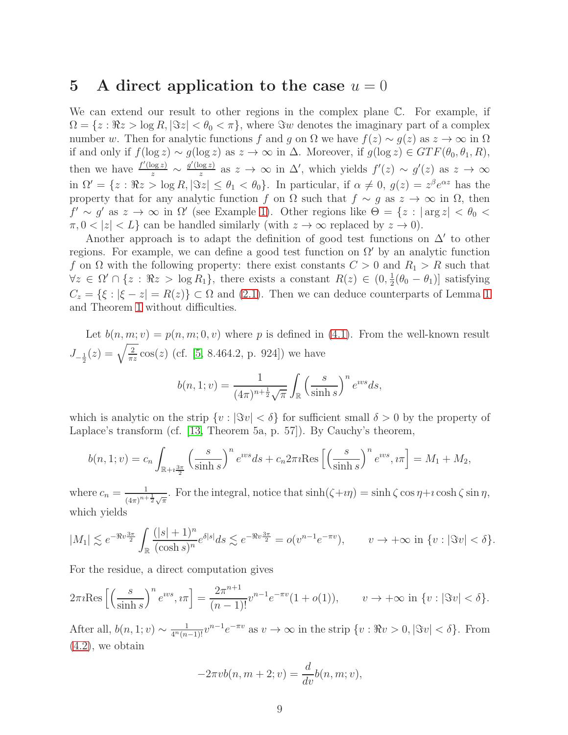### <span id="page-8-0"></span>5 A direct application to the case  $u = 0$

We can extend our result to other regions in the complex plane  $\mathbb{C}$ . For example, if  $\Omega = \{z : \Re z > \log R, |\Im z| < \theta_0 < \pi\}$ , where  $\Im w$  denotes the imaginary part of a complex number w. Then for analytic functions f and g on  $\Omega$  we have  $f(z) \sim g(z)$  as  $z \to \infty$  in  $\Omega$ if and only if  $f(\log z) \sim g(\log z)$  as  $z \to \infty$  in Δ. Moreover, if  $g(\log z) \in GTF(\theta_0, \theta_1, R)$ , then we have  $\frac{f'(\log z)}{z} \sim \frac{g'(\log z)}{z}$  $\frac{\log z}{z}$  as  $z \to \infty$  in Δ', which yields  $f'(z) \sim g'(z)$  as  $z \to \infty$ in  $\Omega' = \{z : \Re z > \log R, |\Im z| \le \theta_1 < \theta_0\}$ . In particular, if  $\alpha \neq 0$ ,  $g(z) = z^{\beta} e^{\alpha z}$  has the property that for any analytic function f on  $\Omega$  such that  $f \sim g$  as  $z \to \infty$  in  $\Omega$ , then  $f' \sim g'$  as  $z \to \infty$  in  $\Omega'$  (see Example [1\)](#page-4-2). Other regions like  $\Theta = \{z : |\arg z| < \theta_0 < \theta_0\}$  $\pi, 0 < |z| < L$  can be handled similarly (with  $z \to \infty$  replaced by  $z \to 0$ ).

Another approach is to adapt the definition of good test functions on  $\Delta'$  to other regions. For example, we can define a good test function on  $\Omega'$  by an analytic function f on  $\Omega$  with the following property: there exist constants  $C > 0$  and  $R_1 > R$  such that  $\forall z \in \Omega' \cap \{z : \Re z > \log R_1\},\$  there exists a constant  $R(z) \in (0, \frac{1}{2})$  $\frac{1}{2}(\theta_0 - \theta_1)$ ] satisfying  $C_z = \{\xi : |\xi - z| = R(z)\} \subset \Omega$  and [\(2.1\)](#page-2-0). Then we can deduce counterparts of Lemma [1](#page-2-1) and Theorem [1](#page-3-0) without difficulties.

Let  $b(n, m; v) = p(n, m; 0, v)$  where p is defined in [\(4.1\)](#page-7-0). From the well-known result  $J_{-\frac{1}{2}}(z) = \sqrt{\frac{2}{\pi z}} \cos(z)$  (cf. [\[5,](#page-15-7) 8.464.2, p. 924]) we have  $b(n, 1; v) = \frac{1}{(1 + v)^{v}}$  $\overline{(4\pi)^{n+\frac{1}{2}}}\sqrt{\pi}$ Z R  $\left( \frac{s}{\sqrt{2}} \right)$  $\sinh s$  $\int_0^n e^{ivs} ds,$ 

which is analytic on the strip  $\{v : |\Im v| < \delta\}$  for sufficient small  $\delta > 0$  by the property of Laplace's transform (cf. [\[13,](#page-16-3) Theorem 5a, p. 57]). By Cauchy's theorem,

$$
b(n,1;v) = c_n \int_{\mathbb{R}+i\frac{3\pi}{2}} \left(\frac{s}{\sinh s}\right)^n e^{ws} ds + c_n 2\pi i \text{Res}\left[\left(\frac{s}{\sinh s}\right)^n e^{ws}, i\pi\right] = M_1 + M_2,
$$

where  $c_n = \frac{1}{(4-n)^n}$  $\frac{1}{(4\pi)^{n+\frac{1}{2}}\sqrt{\pi}}$ . For the integral, notice that  $\sinh(\zeta+i\eta) = \sinh\zeta \cos\eta + i \cosh\zeta \sin\eta$ , which yields

$$
|M_1| \lesssim e^{-\Re v \frac{3\pi}{2}} \int_{\mathbb{R}} \frac{(|s|+1)^n}{(\cosh s)^n} e^{\delta |s|} ds \lesssim e^{-\Re v \frac{3\pi}{2}} = o(v^{n-1}e^{-\pi v}), \qquad v \to +\infty \text{ in } \{v : |\Im v| < \delta\}.
$$

For the residue, a direct computation gives

$$
2\pi i \text{Res}\left[\left(\frac{s}{\sinh s}\right)^n e^{iv s}, i\pi\right] = \frac{2\pi^{n+1}}{(n-1)!} v^{n-1} e^{-\pi v} (1+o(1)), \qquad v \to +\infty \text{ in } \{v : |\Im v| < \delta\}.
$$

After all,  $b(n, 1; v) \sim \frac{1}{4^n (n-1)!} v^{n-1} e^{-\pi v}$  as  $v \to \infty$  in the strip  $\{v : \Re v > 0, |\Im v| < \delta\}$ . From  $(4.2)$ , we obtain

$$
-2\pi vb(n, m+2; v) = \frac{d}{dv}b(n, m; v),
$$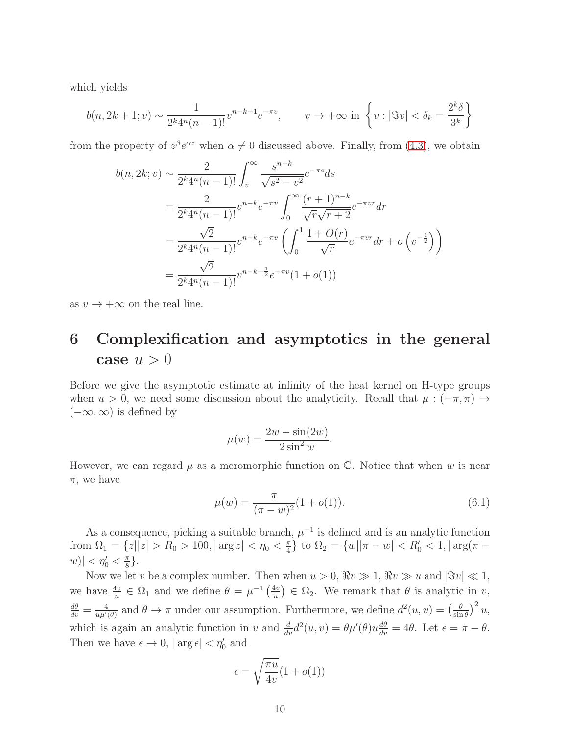which yields

$$
b(n, 2k+1; v) \sim \frac{1}{2^k 4^n (n-1)!} v^{n-k-1} e^{-\pi v}, \qquad v \to +\infty \text{ in } \left\{ v : |\Im v| < \delta_k = \frac{2^k \delta}{3^k} \right\}
$$

from the property of  $z^{\beta}e^{\alpha z}$  when  $\alpha \neq 0$  discussed above. Finally, from [\(4.3\)](#page-7-2), we obtain

$$
b(n, 2k; v) \sim \frac{2}{2^k 4^n (n-1)!} \int_v^\infty \frac{s^{n-k}}{\sqrt{s^2 - v^2}} e^{-\pi s} ds
$$
  
= 
$$
\frac{2}{2^k 4^n (n-1)!} v^{n-k} e^{-\pi v} \int_0^\infty \frac{(r+1)^{n-k}}{\sqrt{r} \sqrt{r+2}} e^{-\pi v r} dr
$$
  
= 
$$
\frac{\sqrt{2}}{2^k 4^n (n-1)!} v^{n-k} e^{-\pi v} \left( \int_0^1 \frac{1+O(r)}{\sqrt{r}} e^{-\pi v r} dr + o\left(v^{-\frac{1}{2}}\right) \right)
$$
  
= 
$$
\frac{\sqrt{2}}{2^k 4^n (n-1)!} v^{n-k-\frac{1}{2}} e^{-\pi v} (1+o(1))
$$

<span id="page-9-0"></span>as  $v \to +\infty$  on the real line.

## 6 Complexification and asymptotics in the general case  $u > 0$

Before we give the asymptotic estimate at infinity of the heat kernel on H-type groups when  $u > 0$ , we need some discussion about the analyticity. Recall that  $\mu : (-\pi, \pi) \rightarrow$  $(-\infty, \infty)$  is defined by

<span id="page-9-1"></span>
$$
\mu(w) = \frac{2w - \sin(2w)}{2\sin^2 w}.
$$

However, we can regard  $\mu$  as a meromorphic function on  $\mathbb{C}$ . Notice that when w is near  $\pi$ , we have

$$
\mu(w) = \frac{\pi}{(\pi - w)^2} (1 + o(1)).
$$
\n(6.1)

As a consequence, picking a suitable branch,  $\mu^{-1}$  is defined and is an analytic function from  $\Omega_1 = \{z||z| > R_0 > 100, |\arg z| < \eta_0 < \frac{\pi}{4}$  $\frac{\pi}{4}$ } to  $\Omega_2 = \{w | |\pi - w| < R'_0 < 1, |\arg(\pi - w)| \}$  $|w| < \eta_0' < \frac{\pi}{8}$  $\frac{\pi}{8}$ .

Now we let v be a complex number. Then when  $u > 0$ ,  $\Re v \gg 1$ ,  $\Re v \gg u$  and  $|\Im v| \ll 1$ , we have  $\frac{4v}{u} \in \Omega_1$  and we define  $\theta = \mu^{-1} \left( \frac{4v}{u} \right)$  $\left(\frac{uv}{u}\right) \in \Omega_2$ . We remark that  $\theta$  is analytic in v,  $\frac{d\theta}{dv}=\frac{4}{u\mu'}$  $\frac{4}{u\mu'(\theta)}$  and  $\theta \to \pi$  under our assumption. Furthermore, we define  $d^2(u, v) = \left(\frac{\theta}{\sin \theta}\right)^2$  $\frac{\theta}{\sin \theta}$ )<sup>2</sup> u, which is again an analytic function in v and  $\frac{d}{dv}d^2(u, v) = \theta \mu'(\theta)u \frac{d\theta}{dv} = 4\theta$ . Let  $\epsilon = \pi - \theta$ . Then we have  $\epsilon \to 0$ ,  $|\arg \epsilon| < \eta_0'$  and

$$
\epsilon = \sqrt{\frac{\pi u}{4v}} (1 + o(1))
$$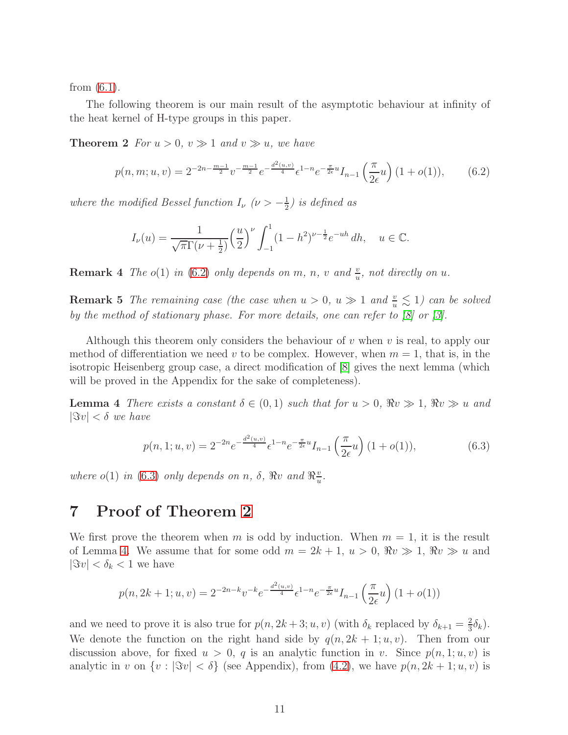from [\(6.1\)](#page-9-1).

<span id="page-10-3"></span>The following theorem is our main result of the asymptotic behaviour at infinity of the heat kernel of H-type groups in this paper.

**Theorem 2** *For*  $u > 0$ ,  $v \gg 1$  *and*  $v \gg u$ , *we have* 

$$
p(n,m;u,v) = 2^{-2n - \frac{m-1}{2}} v^{-\frac{m-1}{2}} e^{-\frac{d^2(u,v)}{4}} \epsilon^{1-n} e^{-\frac{\pi}{2\epsilon}u} I_{n-1}\left(\frac{\pi}{2\epsilon}u\right) (1+o(1)),\tag{6.2}
$$

*where the modified Bessel function*  $I_{\nu}$   $(\nu > -\frac{1}{2})$  $\frac{1}{2}$ *)* is defined as

<span id="page-10-1"></span>
$$
I_{\nu}(u) = \frac{1}{\sqrt{\pi}\Gamma(\nu + \frac{1}{2})} \left(\frac{u}{2}\right)^{\nu} \int_{-1}^{1} (1 - h^2)^{\nu - \frac{1}{2}} e^{-uh} \, dh, \quad u \in \mathbb{C}.
$$

**Remark 4** *The*  $o(1)$  *in* [\(6.2\)](#page-10-1) *only depends on*  $m$ ,  $n$ ,  $v$  *and*  $\frac{v}{u}$ , *not directly on*  $u$ .

**Remark 5** *The remaining case (the case when*  $u > 0$ ,  $u \gg 1$  *and*  $\frac{v}{u} \lesssim 1$ ) *can be solved by the method of stationary phase. For more details, one can refer to [\[8\]](#page-15-8) or [\[3\]](#page-15-0).*

Although this theorem only considers the behaviour of  $v$  when  $v$  is real, to apply our method of differentiation we need v to be complex. However, when  $m = 1$ , that is, in the isotropic Heisenberg group case, a direct modification of [\[8\]](#page-15-8) gives the next lemma (which will be proved in the Appendix for the sake of completeness).

**Lemma 4** *There exists a constant*  $\delta \in (0,1)$  *such that for*  $u > 0$ ,  $\Re v \gg 1$ ,  $\Re v \gg u$  *and*  $|\Im v| < \delta$  *we have* 

<span id="page-10-4"></span><span id="page-10-2"></span>
$$
p(n, 1; u, v) = 2^{-2n} e^{-\frac{d^2(u, v)}{4}} \epsilon^{1 - n} e^{-\frac{\pi}{2\epsilon}u} I_{n-1}\left(\frac{\pi}{2\epsilon}u\right) (1 + o(1)),
$$
\n(6.3)

*where*  $o(1)$  *in* [\(6.3\)](#page-10-2) *only depends on n*,  $\delta$ ,  $\Re v$  *and*  $\Re^{\frac{v}{u}}$  $\frac{v}{u}$ .

## <span id="page-10-0"></span>7 Proof of Theorem [2](#page-10-3)

We first prove the theorem when m is odd by induction. When  $m = 1$ , it is the result of Lemma [4.](#page-10-4) We assume that for some odd  $m = 2k + 1$ ,  $u > 0$ ,  $\Re v \gg 1$ ,  $\Re v \gg u$  and  $|\Im v| < \delta_k < 1$  we have

$$
p(n, 2k+1; u, v) = 2^{-2n-k} v^{-k} e^{-\frac{d^2(u, v)}{4}} e^{1-n} e^{-\frac{\pi}{2\epsilon}u} I_{n-1}\left(\frac{\pi}{2\epsilon}u\right) (1+o(1))
$$

and we need to prove it is also true for  $p(n, 2k+3; u, v)$  (with  $\delta_k$  replaced by  $\delta_{k+1} = \frac{2}{3}$  $\frac{2}{3}\delta_k$ ). We denote the function on the right hand side by  $q(n, 2k + 1; u, v)$ . Then from our discussion above, for fixed  $u > 0$ , q is an analytic function in v. Since  $p(n, 1; u, v)$  is analytic in v on  $\{v : |\Im v| < \delta\}$  (see Appendix), from [\(4.2\)](#page-7-1), we have  $p(n, 2k + 1; u, v)$  is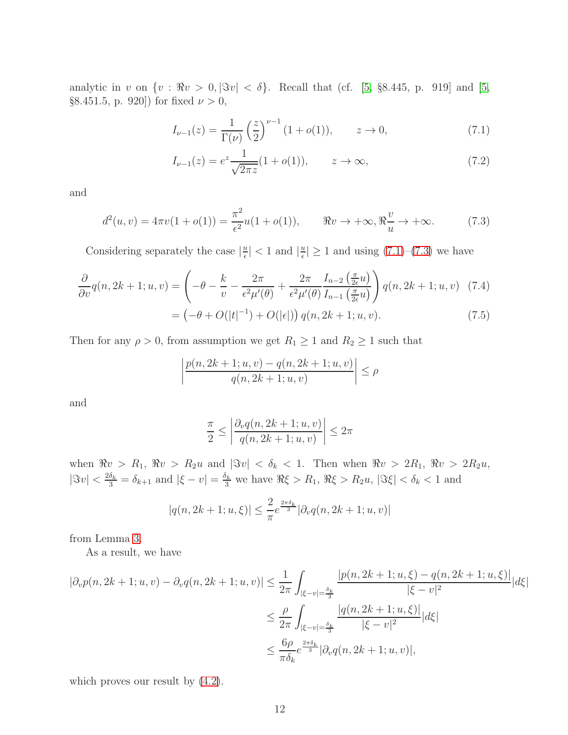analytic in v on  $\{v : \Re v > 0, |\Im v| < \delta\}$ . Recall that (cf. [\[5,](#page-15-7) §8.445, p. 919] and [5, §8.451.5, p. 920]) for fixed  $\nu > 0$ ,

<span id="page-11-0"></span>
$$
I_{\nu-1}(z) = \frac{1}{\Gamma(\nu)} \left(\frac{z}{2}\right)^{\nu-1} (1 + o(1)), \qquad z \to 0,
$$
 (7.1)

<span id="page-11-1"></span>
$$
I_{\nu-1}(z) = e^z \frac{1}{\sqrt{2\pi z}} (1 + o(1)), \qquad z \to \infty,
$$
\n(7.2)

and

$$
d^{2}(u,v) = 4\pi v(1+o(1)) = \frac{\pi^{2}}{\epsilon^{2}}u(1+o(1)), \qquad \Re v \to +\infty, \Re \frac{v}{u} \to +\infty.
$$
 (7.3)

Considering separately the case  $|\frac{u}{\epsilon}$  $\frac{u}{\epsilon}|$  < 1 and  $|\frac{u}{\epsilon}|$  $\frac{u}{\epsilon}$  > 1 and using [\(7.1\)](#page-11-0)–[\(7.3\)](#page-11-1) we have

$$
\frac{\partial}{\partial v}q(n, 2k+1; u, v) = \left(-\theta - \frac{k}{v} - \frac{2\pi}{\epsilon^2 \mu'(\theta)} + \frac{2\pi}{\epsilon^2 \mu'(\theta)} \frac{I_{n-2}\left(\frac{\pi}{2\epsilon}u\right)}{I_{n-1}\left(\frac{\pi}{2\epsilon}u\right)}\right)q(n, 2k+1; u, v) \quad (7.4)
$$

$$
= \left(-\theta + O(|t|^{-1}) + O(|\epsilon|)\right)q(n, 2k+1; u, v). \tag{7.5}
$$

Then for any  $\rho > 0$ , from assumption we get  $R_1 \geq 1$  and  $R_2 \geq 1$  such that

$$
\left| \frac{p(n, 2k+1; u, v) - q(n, 2k+1; u, v)}{q(n, 2k+1; u, v)} \right| \le \rho
$$

and

<span id="page-11-2"></span>
$$
\frac{\pi}{2} \le \left| \frac{\partial_v q(n, 2k+1; u, v)}{q(n, 2k+1; u, v)} \right| \le 2\pi
$$

when  $\Re v > R_1$ ,  $\Re v > R_2u$  and  $|\Im v| < \delta_k < 1$ . Then when  $\Re v > 2R_1$ ,  $\Re v > 2R_2u$ ,  $|\Im v| < \frac{2\delta_k}{3} = \delta_{k+1}$  and  $|\xi - v| = \frac{\delta_k}{3}$  we have  $\Re \xi > R_1$ ,  $\Re \xi > R_2 u$ ,  $|\Im \xi| < \delta_k < 1$  and

$$
|q(n, 2k+1; u, \xi)| \le \frac{2}{\pi} e^{\frac{2\pi \delta_k}{3}} |\partial_v q(n, 2k+1; u, v)|
$$

from Lemma [3.](#page-5-0)

As a result, we have

$$
|\partial_v p(n, 2k+1; u, v) - \partial_v q(n, 2k+1; u, v)| \leq \frac{1}{2\pi} \int_{|\xi - v| = \frac{\delta_k}{3}} \frac{|p(n, 2k+1; u, \xi) - q(n, 2k+1; u, \xi)|}{|\xi - v|^2} |d\xi|
$$
  

$$
\leq \frac{\rho}{2\pi} \int_{|\xi - v| = \frac{\delta_k}{3}} \frac{|q(n, 2k+1; u, \xi)|}{|\xi - v|^2} |d\xi|
$$
  

$$
\leq \frac{6\rho}{\pi \delta_k} e^{\frac{2\pi \delta_k}{3}} |\partial_v q(n, 2k+1; u, v)|,
$$

which proves our result by  $(4.2)$ .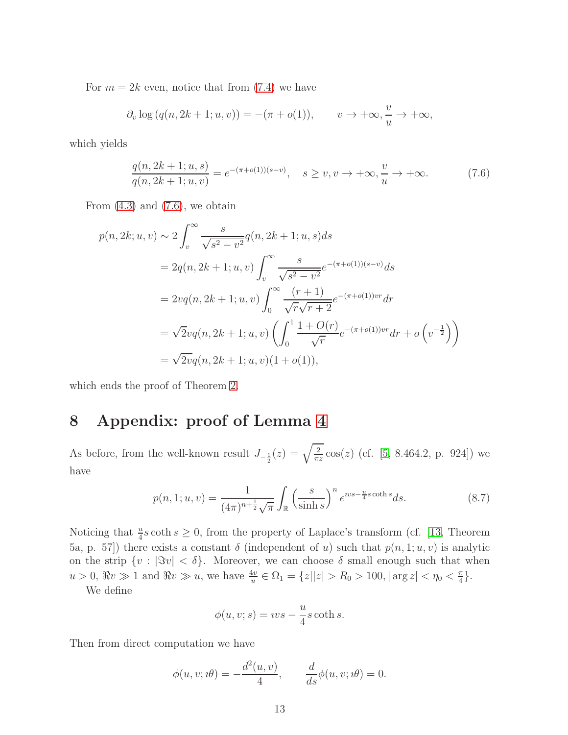For  $m = 2k$  even, notice that from  $(7.4)$  we have

$$
\partial_v \log (q(n, 2k+1; u, v)) = -(\pi + o(1)), \qquad v \to +\infty, \frac{v}{u} \to +\infty,
$$

which yields

<span id="page-12-1"></span>
$$
\frac{q(n, 2k+1; u, s)}{q(n, 2k+1; u, v)} = e^{-(\pi + o(1))(s-v)}, \quad s \ge v, v \to +\infty, \frac{v}{u} \to +\infty.
$$
 (7.6)

From  $(4.3)$  and  $(7.6)$ , we obtain

$$
p(n, 2k; u, v) \sim 2 \int_{v}^{\infty} \frac{s}{\sqrt{s^2 - v^2}} q(n, 2k + 1; u, s) ds
$$
  
=  $2q(n, 2k + 1; u, v) \int_{v}^{\infty} \frac{s}{\sqrt{s^2 - v^2}} e^{-(\pi + o(1))(s - v)} ds$   
=  $2vq(n, 2k + 1; u, v) \int_{0}^{\infty} \frac{(r + 1)}{\sqrt{r}\sqrt{r + 2}} e^{-(\pi + o(1))vr} dr$   
=  $\sqrt{2}vq(n, 2k + 1; u, v) \left( \int_{0}^{1} \frac{1 + O(r)}{\sqrt{r}} e^{-(\pi + o(1))vr} dr + o\left(v^{-\frac{1}{2}}\right) \right)$   
=  $\sqrt{2}vq(n, 2k + 1; u, v)(1 + o(1)),$ 

which ends the proof of Theorem [2.](#page-10-3)

## <span id="page-12-0"></span>8 Appendix: proof of Lemma [4](#page-10-4)

As before, from the well-known result  $J_{-\frac{1}{2}}(z) = \sqrt{\frac{2}{\pi z}}$  $\frac{2}{\pi z} \cos(z)$  (cf. [\[5,](#page-15-7) 8.464.2, p. 924]) we have

$$
p(n, 1; u, v) = \frac{1}{(4\pi)^{n + \frac{1}{2}}\sqrt{\pi}} \int_{\mathbb{R}} \left(\frac{s}{\sinh s}\right)^n e^{iv s - \frac{u}{4}s \coth s} ds.
$$
 (8.7)

Noticing that  $\frac{u}{4} s \coth s \geq 0$ , from the property of Laplace's transform (cf. [\[13,](#page-16-3) Theorem 5a, p. 57) there exists a constant  $\delta$  (independent of u) such that  $p(n, 1; u, v)$  is analytic on the strip  $\{v : |\Im v| < \delta\}$ . Moreover, we can choose  $\delta$  small enough such that when  $u > 0$ ,  $\Re v \gg 1$  and  $\Re v \gg u$ , we have  $\frac{4v}{u} \in \Omega_1 = \{z | |z| > R_0 > 100$ ,  $|\arg z| < \eta_0 < \frac{\pi}{4}$  $\frac{\pi}{4}$ .

We define

$$
\phi(u, v; s) = vvs - \frac{u}{4}s \coth s.
$$

Then from direct computation we have

$$
\phi(u, v; u\theta) = -\frac{d^2(u, v)}{4}, \qquad \frac{d}{ds}\phi(u, v; u\theta) = 0.
$$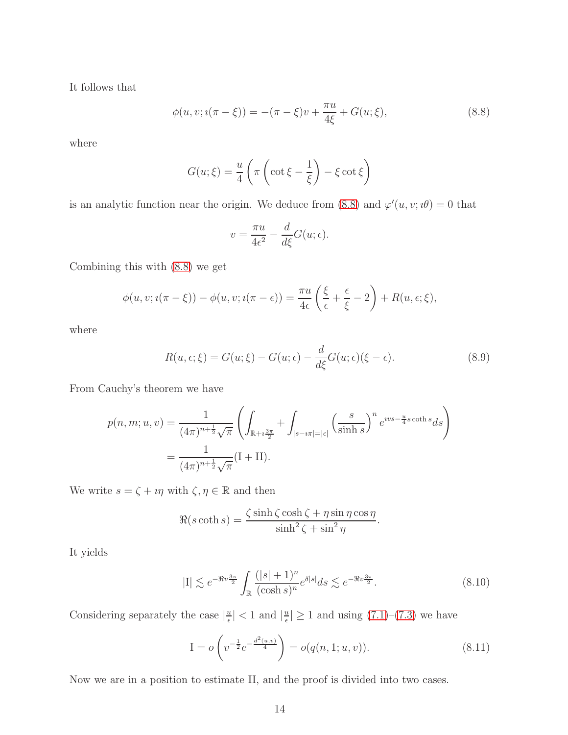It follows that

$$
\phi(u, v; i(\pi - \xi)) = -(\pi - \xi)v + \frac{\pi u}{4\xi} + G(u; \xi),
$$
\n(8.8)

where

$$
G(u; \xi) = \frac{u}{4} \left( \pi \left( \cot \xi - \frac{1}{\xi} \right) - \xi \cot \xi \right)
$$

is an analytic function near the origin. We deduce from [\(8.8\)](#page-13-0) and  $\varphi'(u, v; \theta) = 0$  that

<span id="page-13-0"></span>
$$
v = \frac{\pi u}{4\epsilon^2} - \frac{d}{d\xi}G(u;\epsilon).
$$

Combining this with [\(8.8\)](#page-13-0) we get

$$
\phi(u, v; \iota(\pi - \xi)) - \phi(u, v; \iota(\pi - \epsilon)) = \frac{\pi u}{4\epsilon} \left(\frac{\xi}{\epsilon} + \frac{\epsilon}{\xi} - 2\right) + R(u, \epsilon; \xi),
$$

where

$$
R(u,\epsilon;\xi) = G(u;\xi) - G(u;\epsilon) - \frac{d}{d\xi}G(u;\epsilon)(\xi - \epsilon).
$$
\n(8.9)

From Cauchy's theorem we have

$$
p(n, m; u, v) = \frac{1}{(4\pi)^{n + \frac{1}{2}} \sqrt{\pi}} \left( \int_{\mathbb{R} + i\frac{3\pi}{2}} + \int_{|s - i\pi| = |\epsilon|} \left( \frac{s}{\sinh s} \right)^n e^{iv s - \frac{u}{4} s \coth s} ds \right)
$$
  
= 
$$
\frac{1}{(4\pi)^{n + \frac{1}{2}} \sqrt{\pi}} (I + II).
$$

We write  $s=\zeta+\imath\eta$  with  $\zeta,\eta\in\mathbb{R}$  and then

$$
\Re(s \coth s) = \frac{\zeta \sinh \zeta \cosh \zeta + \eta \sin \eta \cos \eta}{\sinh^2 \zeta + \sin^2 \eta}.
$$

It yields

$$
|\mathcal{I}| \lesssim e^{-\Re v \frac{3\pi}{2}} \int_{\mathbb{R}} \frac{(|s|+1)^n}{(\cosh s)^n} e^{\delta |s|} ds \lesssim e^{-\Re v \frac{3\pi}{2}}.
$$
 (8.10)

Considering separately the case  $|\frac{u}{\epsilon}$  $\frac{u}{\epsilon}|$  < 1 and  $|\frac{u}{\epsilon}|$  $\frac{u}{\epsilon}$  |  $\geq$  1 and using [\(7.1\)](#page-11-0)–[\(7.3\)](#page-11-1) we have

$$
I = o\left(v^{-\frac{1}{2}}e^{-\frac{d^2(u,v)}{4}}\right) = o(q(n,1;u,v)).
$$
\n(8.11)

Now we are in a position to estimate II, and the proof is divided into two cases.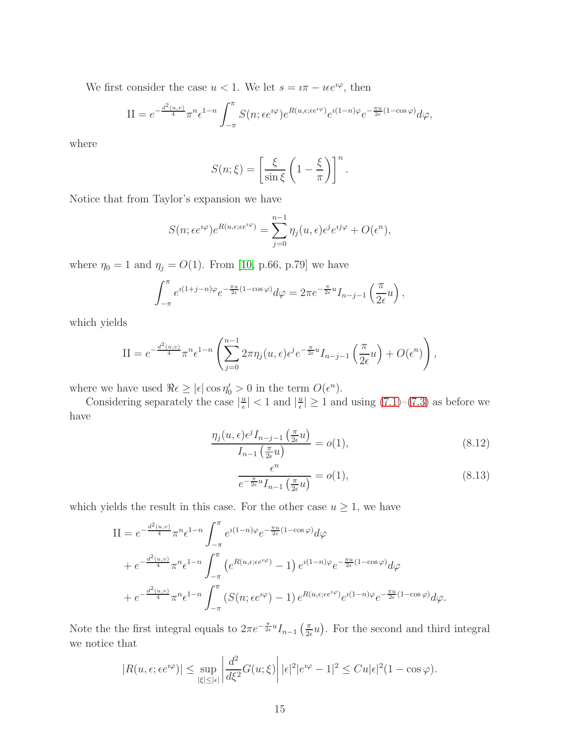We first consider the case  $u < 1$ . We let  $s = i\pi - i\epsilon e^{i\varphi}$ , then

$$
II = e^{-\frac{d^2(u,v)}{4}} \pi^n \epsilon^{1-n} \int_{-\pi}^{\pi} S(n; \epsilon e^{i\varphi}) e^{R(u,\epsilon; \epsilon e^{i\varphi})} e^{i(1-n)\varphi} e^{-\frac{\pi u}{2\epsilon}(1-\cos\varphi)} d\varphi,
$$

where

$$
S(n; \xi) = \left[\frac{\xi}{\sin \xi} \left(1 - \frac{\xi}{\pi}\right)\right]^n.
$$

Notice that from Taylor's expansion we have

$$
S(n; \epsilon e^{i\varphi})e^{R(u, \epsilon; \epsilon e^{i\varphi})} = \sum_{j=0}^{n-1} \eta_j(u, \epsilon) \epsilon^j e^{ij\varphi} + O(\epsilon^n),
$$

where  $\eta_0 = 1$  and  $\eta_j = O(1)$ . From [\[10,](#page-16-4) p.66, p.79] we have

$$
\int_{-\pi}^{\pi} e^{i(1+j-n)\varphi} e^{-\frac{\pi u}{2\epsilon}(1-\cos\varphi)} d\varphi = 2\pi e^{-\frac{\pi}{2\epsilon}u} I_{n-j-1}\left(\frac{\pi}{2\epsilon}u\right),
$$

which yields

$$
II = e^{-\frac{d^2(u,v)}{4}} \pi^n \epsilon^{1-n} \left( \sum_{j=0}^{n-1} 2\pi \eta_j(u,\epsilon) \epsilon^j e^{-\frac{\pi}{2\epsilon}u} I_{n-j-1} \left( \frac{\pi}{2\epsilon} u \right) + O(\epsilon^n) \right),
$$

where we have used  $\Re \epsilon \geq |\epsilon| \cos \eta'_0 > 0$  in the term  $O(\epsilon^n)$ .

Considering separately the case  $|\frac{u}{\epsilon}$  $\frac{u}{\epsilon}|$  < 1 and  $|\frac{u}{\epsilon}|$  $\frac{u}{\epsilon}$  |  $\geq$  1 and using [\(7.1\)](#page-11-0)–[\(7.3\)](#page-11-1) as before we have

$$
\frac{\eta_j(u,\epsilon)\epsilon^j I_{n-j-1}\left(\frac{\pi}{2\epsilon}u\right)}{I_{n-1}\left(\frac{\pi}{2\epsilon}u\right)} = o(1),\tag{8.12}
$$

$$
\frac{\epsilon^n}{e^{-\frac{\pi}{2\epsilon}u}I_{n-1}\left(\frac{\pi}{2\epsilon}u\right)} = o(1),\tag{8.13}
$$

which yields the result in this case. For the other case  $u \geq 1$ , we have

$$
II = e^{-\frac{d^2(u,v)}{4}} \pi^n e^{1-n} \int_{-\pi}^{\pi} e^{i(1-n)\varphi} e^{-\frac{\pi u}{2\epsilon}(1-\cos\varphi)} d\varphi
$$
  
+ 
$$
e^{-\frac{d^2(u,v)}{4}} \pi^n e^{1-n} \int_{-\pi}^{\pi} \left( e^{R(u,\epsilon;\epsilon e^{i\varphi})} - 1 \right) e^{i(1-n)\varphi} e^{-\frac{\pi u}{2\epsilon}(1-\cos\varphi)} d\varphi
$$
  
+ 
$$
e^{-\frac{d^2(u,v)}{4}} \pi^n e^{1-n} \int_{-\pi}^{\pi} \left( S(n;\epsilon e^{i\varphi}) - 1 \right) e^{R(u,\epsilon;\epsilon e^{i\varphi})} e^{i(1-n)\varphi} e^{-\frac{\pi u}{2\epsilon}(1-\cos\varphi)} d\varphi.
$$

Note the the first integral equals to  $2\pi e^{-\frac{\pi}{2\epsilon}u}I_{n-1}\left(\frac{\pi}{2\epsilon}\right)$  $\frac{\pi}{2\epsilon}u$ ). For the second and third integral we notice that

$$
|R(u,\epsilon;\epsilon e^{i\varphi})| \le \sup_{|\xi| \le |\epsilon|} \left| \frac{d^2}{d\xi^2} G(u;\xi) \right| |\epsilon|^2 |e^{i\varphi} - 1|^2 \le C u |\epsilon|^2 (1 - \cos \varphi).
$$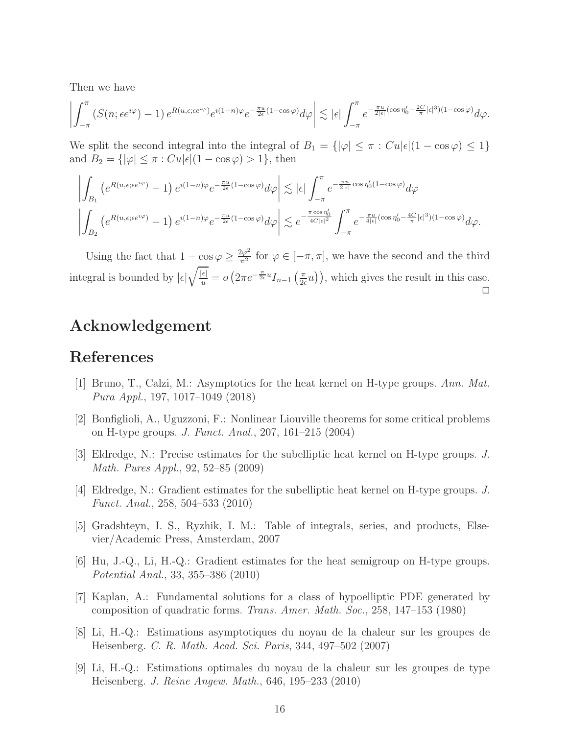Then we have

$$
\left| \int_{-\pi}^{\pi} \left( S(n; \epsilon e^{i\varphi}) - 1 \right) e^{R(u, \epsilon; \epsilon e^{i\varphi})} e^{i(1-n)\varphi} e^{-\frac{\pi u}{2\epsilon}(1 - \cos \varphi)} d\varphi \right| \lesssim |\epsilon| \int_{-\pi}^{\pi} e^{-\frac{\pi u}{2|\epsilon|}(\cos \eta_0' - \frac{2C}{\pi}|\epsilon|^3)(1 - \cos \varphi)} d\varphi.
$$

We split the second integral into the integral of  $B_1 = \{|\varphi| \leq \pi : Cu|\epsilon|(1 - \cos \varphi) \leq 1\}$ and  $B_2 = \{ |\varphi| \leq \pi : Cu|\epsilon|(1 - \cos \varphi) > 1 \},\$  then

$$
\left| \int_{B_1} \left( e^{R(u,\epsilon;\epsilon e^{i\varphi})} - 1 \right) e^{i(1-n)\varphi} e^{-\frac{\pi u}{2\epsilon}(1-\cos\varphi)} d\varphi \right| \lesssim |\epsilon| \int_{-\pi}^{\pi} e^{-\frac{\pi u}{2|\epsilon|} \cos \eta_0'(1-\cos\varphi)} d\varphi
$$
  

$$
\left| \int_{B_2} \left( e^{R(u,\epsilon;\epsilon e^{i\varphi})} - 1 \right) e^{i(1-n)\varphi} e^{-\frac{\pi u}{2\epsilon}(1-\cos\varphi)} d\varphi \right| \lesssim e^{-\frac{\pi \cos \eta_0'}{4C|\epsilon|^2}} \int_{-\pi}^{\pi} e^{-\frac{\pi u}{4|\epsilon|}(\cos \eta_0' - \frac{4C}{\pi}|\epsilon|^3)(1-\cos\varphi)} d\varphi.
$$

Using the fact that  $1 - \cos \varphi \ge \frac{2\varphi^2}{\pi^2}$  for  $\varphi \in [-\pi, \pi]$ , we have the second and the third integral is bounded by  $|\epsilon|\sqrt{\frac{|\epsilon|}{u}} = o\left(2\pi e^{-\frac{\pi}{2\epsilon}u}I_{n-1}\left(\frac{\pi}{2\epsilon}\right)\right)$  $(\frac{\pi}{2\epsilon}u)$ , which gives the result in this case.  $\Box$ 

## Acknowledgement

## <span id="page-15-4"></span>References

- [1] Bruno, T., Calzi, M.: Asymptotics for the heat kernel on H-type groups. *Ann. Mat. Pura Appl.*, 197, 1017–1049 (2018)
- <span id="page-15-5"></span>[2] Bonfiglioli, A., Uguzzoni, F.: Nonlinear Liouville theorems for some critical problems on H-type groups. *J. Funct. Anal.*, 207, 161–215 (2004)
- <span id="page-15-0"></span>[3] Eldredge, N.: Precise estimates for the subelliptic heat kernel on H-type groups. *J. Math. Pures Appl.*, 92, 52–85 (2009)
- <span id="page-15-3"></span>[4] Eldredge, N.: Gradient estimates for the subelliptic heat kernel on H-type groups. *J. Funct. Anal.*, 258, 504–533 (2010)
- <span id="page-15-7"></span>[5] Gradshteyn, I. S., Ryzhik, I. M.: Table of integrals, series, and products, Elsevier/Academic Press, Amsterdam, 2007
- <span id="page-15-2"></span>[6] Hu, J.-Q., Li, H.-Q.: Gradient estimates for the heat semigroup on H-type groups. *Potential Anal.*, 33, 355–386 (2010)
- <span id="page-15-6"></span>[7] Kaplan, A.: Fundamental solutions for a class of hypoelliptic PDE generated by composition of quadratic forms. *Trans. Amer. Math. Soc.*, 258, 147–153 (1980)
- <span id="page-15-8"></span>[8] Li, H.-Q.: Estimations asymptotiques du noyau de la chaleur sur les groupes de Heisenberg. *C. R. Math. Acad. Sci. Paris*, 344, 497–502 (2007)
- <span id="page-15-1"></span>[9] Li, H.-Q.: Estimations optimales du noyau de la chaleur sur les groupes de type Heisenberg. *J. Reine Angew. Math.*, 646, 195–233 (2010)